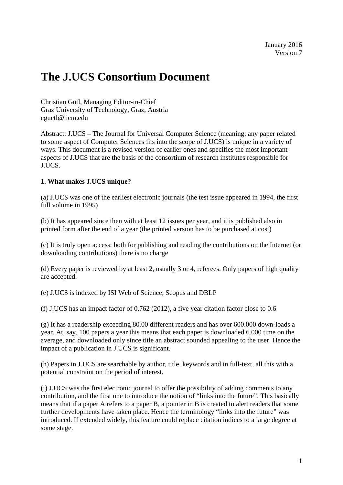# **The J.UCS Consortium Document**

Christian Gütl, Managing Editor-in-Chief Graz University of Technology, Graz, Austria cguetl@iicm.edu

Abstract: J.UCS – The Journal for Universal Computer Science (meaning: any paper related to some aspect of Computer Sciences fits into the scope of J.UCS) is unique in a variety of ways. This document is a revised version of earlier ones and specifies the most important aspects of J.UCS that are the basis of the consortium of research institutes responsible for J.UCS.

## **1. What makes J.UCS unique?**

(a) J.UCS was one of the earliest electronic journals (the test issue appeared in 1994, the first full volume in 1995)

(b) It has appeared since then with at least 12 issues per year, and it is published also in printed form after the end of a year (the printed version has to be purchased at cost)

(c) It is truly open access: both for publishing and reading the contributions on the Internet (or downloading contributions) there is no charge

(d) Every paper is reviewed by at least 2, usually 3 or 4, referees. Only papers of high quality are accepted.

(e) J.UCS is indexed by ISI Web of Science, Scopus and DBLP

(f) J.UCS has an impact factor of 0.762 (2012), a five year citation factor close to 0.6

(g) It has a readership exceeding 80.00 different readers and has over 600.000 down-loads a year. At, say, 100 papers a year this means that each paper is downloaded 6.000 time on the average, and downloaded only since title an abstract sounded appealing to the user. Hence the impact of a publication in J.UCS is significant.

(h) Papers in J.UCS are searchable by author, title, keywords and in full-text, all this with a potential constraint on the period of interest.

(i) J.UCS was the first electronic journal to offer the possibility of adding comments to any contribution, and the first one to introduce the notion of "links into the future". This basically means that if a paper A refers to a paper B, a pointer in B is created to alert readers that some further developments have taken place. Hence the terminology "links into the future" was introduced. If extended widely, this feature could replace citation indices to a large degree at some stage.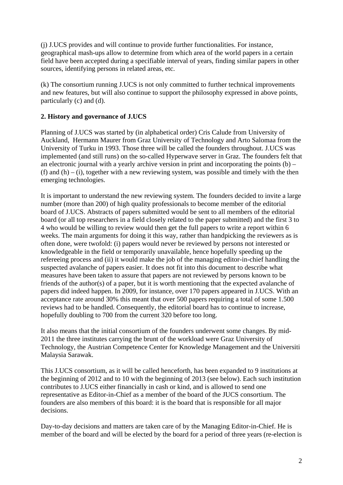(j) J.UCS provides and will continue to provide further functionalities. For instance, geographical mash-ups allow to determine from which area of the world papers in a certain field have been accepted during a specifiable interval of years, finding similar papers in other sources, identifying persons in related areas, etc.

(k) The consortium running J.UCS is not only committed to further technical improvements and new features, but will also continue to support the philosophy expressed in above points, particularly (c) and (d).

## **2. History and governance of J.UCS**

Planning of J.UCS was started by (in alphabetical order) Cris Calude from University of Auckland, Hermann Maurer from Graz University of Technology and Arto Salomaa from the University of Turku in 1993. Those three will be called the founders throughout. J.UCS was implemented (and still runs) on the so-called Hyperwave server in Graz. The founders felt that an electronic journal with a yearly archive version in print and incorporating the points  $(b)$  – (f) and  $(h) - (i)$ , together with a new reviewing system, was possible and timely with the then emerging technologies.

It is important to understand the new reviewing system. The founders decided to invite a large number (more than 200) of high quality professionals to become member of the editorial board of J.UCS. Abstracts of papers submitted would be sent to all members of the editorial board (or all top researchers in a field closely related to the paper submitted) and the first 3 to 4 who would be willing to review would then get the full papers to write a report within 6 weeks. The main arguments for doing it this way, rather than handpicking the reviewers as is often done, were twofold: (i) papers would never be reviewed by persons not interested or knowledgeable in the field or temporarily unavailable, hence hopefully speeding up the refereeing process and (ii) it would make the job of the managing editor-in-chief handling the suspected avalanche of papers easier. It does not fit into this document to describe what measures have been taken to assure that papers are not reviewed by persons known to be friends of the author(s) of a paper, but it is worth mentioning that the expected avalanche of papers did indeed happen. In 2009, for instance, over 170 papers appeared in J.UCS. With an acceptance rate around 30% this meant that over 500 papers requiring a total of some 1.500 reviews had to be handled. Consequently, the editorial board has to continue to increase, hopefully doubling to 700 from the current 320 before too long.

It also means that the initial consortium of the founders underwent some changes. By mid-2011 the three institutes carrying the brunt of the workload were Graz University of Technology, the Austrian Competence Center for Knowledge Management and the Universiti Malaysia Sarawak.

This J.UCS consortium, as it will be called henceforth, has been expanded to 9 institutions at the beginning of 2012 and to 10 with the beginning of 2013 (see below). Each such institution contributes to J.UCS either financially in cash or kind, and is allowed to send one representative as Editor-in-Chief as a member of the board of the JUCS consortium. The founders are also members of this board: it is the board that is responsible for all major decisions.

Day-to-day decisions and matters are taken care of by the Managing Editor-in-Chief. He is member of the board and will be elected by the board for a period of three years (re-election is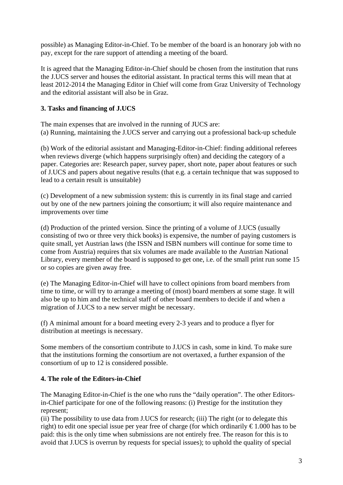possible) as Managing Editor-in-Chief. To be member of the board is an honorary job with no pay, except for the rare support of attending a meeting of the board.

It is agreed that the Managing Editor-in-Chief should be chosen from the institution that runs the J.UCS server and houses the editorial assistant. In practical terms this will mean that at least 2012-2014 the Managing Editor in Chief will come from Graz University of Technology and the editorial assistant will also be in Graz.

# **3. Tasks and financing of J.UCS**

The main expenses that are involved in the running of JUCS are: (a) Running, maintaining the J.UCS server and carrying out a professional back-up schedule

(b) Work of the editorial assistant and Managing-Editor-in-Chief: finding additional referees when reviews diverge (which happens surprisingly often) and deciding the category of a paper. Categories are: Research paper, survey paper, short note, paper about features or such of J.UCS and papers about negative results (that e.g. a certain technique that was supposed to lead to a certain result is unsuitable)

(c) Development of a new submission system: this is currently in its final stage and carried out by one of the new partners joining the consortium; it will also require maintenance and improvements over time

(d) Production of the printed version. Since the printing of a volume of J.UCS (usually consisting of two or three very thick books) is expensive, the number of paying customers is quite small, yet Austrian laws (the ISSN and ISBN numbers will continue for some time to come from Austria) requires that six volumes are made available to the Austrian National Library, every member of the board is supposed to get one, i.e. of the small print run some 15 or so copies are given away free.

(e) The Managing Editor-in-Chief will have to collect opinions from board members from time to time, or will try to arrange a meeting of (most) board members at some stage. It will also be up to him and the technical staff of other board members to decide if and when a migration of J.UCS to a new server might be necessary.

(f) A minimal amount for a board meeting every 2-3 years and to produce a flyer for distribution at meetings is necessary.

Some members of the consortium contribute to J.UCS in cash, some in kind. To make sure that the institutions forming the consortium are not overtaxed, a further expansion of the consortium of up to 12 is considered possible.

## **4. The role of the Editors-in-Chief**

The Managing Editor-in-Chief is the one who runs the "daily operation". The other Editorsin-Chief participate for one of the following reasons: (i) Prestige for the institution they represent;

(ii) The possibility to use data from J.UCS for research; (iii) The right (or to delegate this right) to edit one special issue per year free of charge (for which ordinarily  $\epsilon 1.000$  has to be paid: this is the only time when submissions are not entirely free. The reason for this is to avoid that J.UCS is overrun by requests for special issues); to uphold the quality of special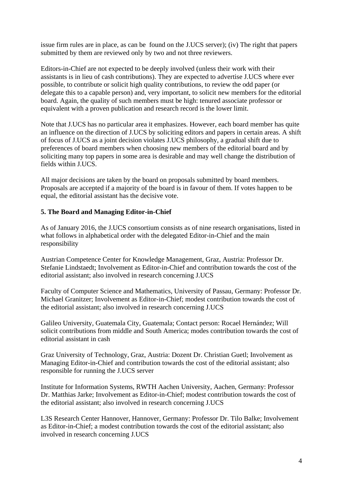issue firm rules are in place, as can be found on the J.UCS server); (iv) The right that papers submitted by them are reviewed only by two and not three reviewers.

Editors-in-Chief are not expected to be deeply involved (unless their work with their assistants is in lieu of cash contributions). They are expected to advertise J.UCS where ever possible, to contribute or solicit high quality contributions, to review the odd paper (or delegate this to a capable person) and, very important, to solicit new members for the editorial board. Again, the quality of such members must be high: tenured associate professor or equivalent with a proven publication and research record is the lower limit.

Note that J.UCS has no particular area it emphasizes. However, each board member has quite an influence on the direction of J.UCS by soliciting editors and papers in certain areas. A shift of focus of J.UCS as a joint decision violates J.UCS philosophy, a gradual shift due to preferences of board members when choosing new members of the editorial board and by soliciting many top papers in some area is desirable and may well change the distribution of fields within J.UCS.

All major decisions are taken by the board on proposals submitted by board members. Proposals are accepted if a majority of the board is in favour of them. If votes happen to be equal, the editorial assistant has the decisive vote.

#### **5. The Board and Managing Editor-in-Chief**

As of January 2016, the J.UCS consortium consists as of nine research organisations, listed in what follows in alphabetical order with the delegated Editor-in-Chief and the main responsibility

Austrian Competence Center for Knowledge Management, Graz, Austria: Professor Dr. Stefanie Lindstaedt; Involvement as Editor-in-Chief and contribution towards the cost of the editorial assistant; also involved in research concerning J.UCS

Faculty of Computer Science and Mathematics, University of Passau, Germany: Professor Dr. Michael Granitzer; Involvement as Editor-in-Chief; modest contribution towards the cost of the editorial assistant; also involved in research concerning J.UCS

Galileo University, Guatemala City, Guatemala; Contact person: Rocael Hernández; Will solicit contributions from middle and South America; modes contribution towards the cost of editorial assistant in cash

Graz University of Technology, Graz, Austria: Dozent Dr. Christian Guetl; Involvement as Managing Editor-in-Chief and contribution towards the cost of the editorial assistant; also responsible for running the J.UCS server

Institute for Information Systems, RWTH Aachen University, Aachen, Germany: Professor Dr. Matthias Jarke; Involvement as Editor-in-Chief; modest contribution towards the cost of the editorial assistant; also involved in research concerning J.UCS

L3S Research Center Hannover, Hannover, Germany: Professor Dr. Tilo Balke; Involvement as Editor-in-Chief; a modest contribution towards the cost of the editorial assistant; also involved in research concerning J.UCS